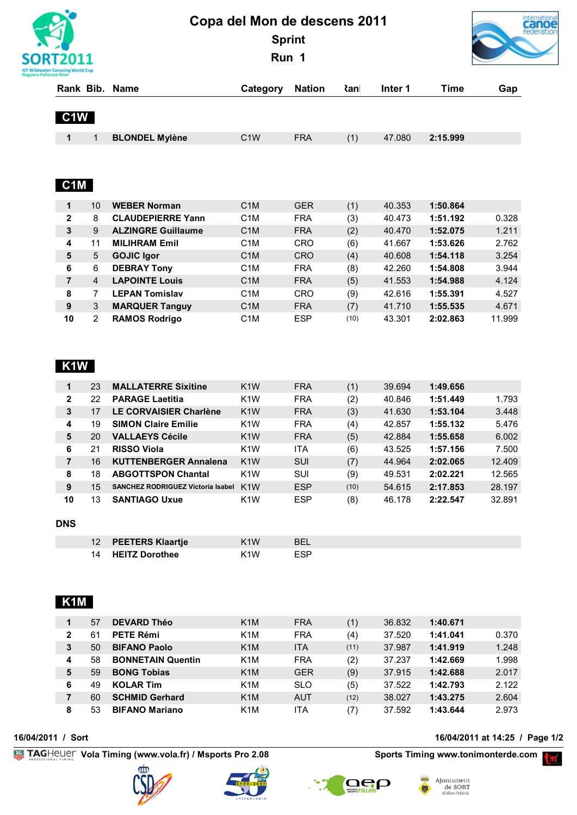

# **Copa del Mon de descens 2011 Sprint**

**Run 1**



| Rank Bib.        |                | Name                      | Category         | <b>Nation</b> | <b>≀</b> anl | Inter 1 | Time     | Gap    |
|------------------|----------------|---------------------------|------------------|---------------|--------------|---------|----------|--------|
|                  |                |                           |                  |               |              |         |          |        |
| C <sub>1</sub> W |                |                           |                  |               |              |         |          |        |
|                  |                |                           |                  |               |              |         |          |        |
| 1                | 1              | <b>BLONDEL Mylène</b>     | C <sub>1</sub> W | <b>FRA</b>    | (1)          | 47.080  | 2:15.999 |        |
|                  |                |                           |                  |               |              |         |          |        |
|                  |                |                           |                  |               |              |         |          |        |
|                  |                |                           |                  |               |              |         |          |        |
| C <sub>1</sub> M |                |                           |                  |               |              |         |          |        |
| 1                | 10             | <b>WEBER Norman</b>       | C <sub>1</sub> M | <b>GER</b>    | (1)          | 40.353  | 1:50.864 |        |
| $\overline{2}$   | 8              | <b>CLAUDEPIERRE Yann</b>  | C1M              | <b>FRA</b>    | (3)          | 40.473  | 1:51.192 | 0.328  |
| 3                | 9              | <b>ALZINGRE Guillaume</b> | C <sub>1</sub> M | <b>FRA</b>    | (2)          | 40.470  | 1:52.075 | 1.211  |
| 4                | 11             | <b>MILIHRAM Emil</b>      | C1M              | <b>CRO</b>    | (6)          | 41.667  | 1:53.626 | 2.762  |
| 5                | 5              | <b>GOJIC Igor</b>         | C <sub>1</sub> M | <b>CRO</b>    | (4)          | 40.608  | 1:54.118 | 3.254  |
| 6                | 6              | <b>DEBRAY Tony</b>        | C1M              | <b>FRA</b>    | (8)          | 42.260  | 1:54.808 | 3.944  |
| $\overline{7}$   | $\overline{4}$ | <b>LAPOINTE Louis</b>     | C <sub>1</sub> M | <b>FRA</b>    | (5)          | 41.553  | 1:54.988 | 4.124  |
| 8                | 7              | <b>LEPAN Tomislav</b>     | C <sub>1</sub> M | <b>CRO</b>    | (9)          | 42.616  | 1:55.391 | 4.527  |
| 9                | 3              | <b>MARQUER Tanguy</b>     | C <sub>1</sub> M | <b>FRA</b>    | (7)          | 41.710  | 1:55.535 | 4.671  |
| 10               | 2              | <b>RAMOS Rodrigo</b>      | C1M              | <b>ESP</b>    | (10)         | 43.301  | 2:02.863 | 11.999 |

### **K1W**

| <b>FRA</b><br>23<br>K <sub>1</sub> W<br>(1)<br><b>MALLATERRE Sixitine</b><br>39.694<br>1:49.656<br><b>FRA</b><br>22<br>K <sub>1</sub> W<br>(2)<br>2<br><b>PARAGE Laetitia</b><br>40.846<br>1:51.449<br>1.793<br>17<br>LE CORVAISIER Charlène<br>K <sub>1</sub> W<br><b>FRA</b><br>(3)<br>3<br>41.630<br>1:53.104<br>3.448<br>19<br>K <sub>1</sub> W<br><b>FRA</b><br>(4)<br><b>SIMON Claire Emilie</b><br>1:55.132<br>5.476<br>42.857<br>4<br><b>FRA</b><br><b>VALLAEYS Cécile</b><br>K <sub>1</sub> W<br>(5)<br>5<br>20<br>42.884<br>1:55.658<br>6<br>21<br>K <sub>1</sub> W<br>(6)<br><b>RISSO Viola</b><br>ITA<br>7.500<br>43.525<br>1:57.156<br>16<br>K <sub>1</sub> W<br>(7)<br>7<br><b>KUTTENBERGER Annalena</b><br><b>SUI</b><br>44.964<br>2:02.065<br>SUI<br>(9)<br>18<br><b>ABGOTTSPON Chantal</b><br>K <sub>1</sub> W<br>12.565<br>8<br>2:02.221<br>49.531<br><b>ESP</b><br>9<br>15<br>28.197<br>2:17.853<br>K <sub>1</sub> W<br>54.615<br><b>SANCHEZ RODRIGUEZ Victoria Isabel</b><br>(10)<br><b>ESP</b><br>10<br>13<br>K <sub>1</sub> W<br>(8)<br>46.178<br>32.891<br><b>SANTIAGO Uxue</b><br>2:22.547 |  |  |  |  |        |
|--------------------------------------------------------------------------------------------------------------------------------------------------------------------------------------------------------------------------------------------------------------------------------------------------------------------------------------------------------------------------------------------------------------------------------------------------------------------------------------------------------------------------------------------------------------------------------------------------------------------------------------------------------------------------------------------------------------------------------------------------------------------------------------------------------------------------------------------------------------------------------------------------------------------------------------------------------------------------------------------------------------------------------------------------------------------------------------------------------------------|--|--|--|--|--------|
|                                                                                                                                                                                                                                                                                                                                                                                                                                                                                                                                                                                                                                                                                                                                                                                                                                                                                                                                                                                                                                                                                                                    |  |  |  |  |        |
|                                                                                                                                                                                                                                                                                                                                                                                                                                                                                                                                                                                                                                                                                                                                                                                                                                                                                                                                                                                                                                                                                                                    |  |  |  |  |        |
|                                                                                                                                                                                                                                                                                                                                                                                                                                                                                                                                                                                                                                                                                                                                                                                                                                                                                                                                                                                                                                                                                                                    |  |  |  |  |        |
|                                                                                                                                                                                                                                                                                                                                                                                                                                                                                                                                                                                                                                                                                                                                                                                                                                                                                                                                                                                                                                                                                                                    |  |  |  |  |        |
|                                                                                                                                                                                                                                                                                                                                                                                                                                                                                                                                                                                                                                                                                                                                                                                                                                                                                                                                                                                                                                                                                                                    |  |  |  |  | 6.002  |
|                                                                                                                                                                                                                                                                                                                                                                                                                                                                                                                                                                                                                                                                                                                                                                                                                                                                                                                                                                                                                                                                                                                    |  |  |  |  |        |
|                                                                                                                                                                                                                                                                                                                                                                                                                                                                                                                                                                                                                                                                                                                                                                                                                                                                                                                                                                                                                                                                                                                    |  |  |  |  | 12.409 |
|                                                                                                                                                                                                                                                                                                                                                                                                                                                                                                                                                                                                                                                                                                                                                                                                                                                                                                                                                                                                                                                                                                                    |  |  |  |  |        |
|                                                                                                                                                                                                                                                                                                                                                                                                                                                                                                                                                                                                                                                                                                                                                                                                                                                                                                                                                                                                                                                                                                                    |  |  |  |  |        |
|                                                                                                                                                                                                                                                                                                                                                                                                                                                                                                                                                                                                                                                                                                                                                                                                                                                                                                                                                                                                                                                                                                                    |  |  |  |  |        |

#### **DNS**

| 12 PEETERS Klaartje | K1W              | <b>BFI</b> |
|---------------------|------------------|------------|
| 14 HEITZ Dorothee   | K <sub>1</sub> W | <b>FSP</b> |

## **K1M**

| 1 | 57 | <b>DEVARD Théo</b>       | K <sub>1</sub> M | <b>FRA</b> | (1)  | 36.832 | 1:40.671 |       |
|---|----|--------------------------|------------------|------------|------|--------|----------|-------|
| 2 | 61 | <b>PETE Rémi</b>         | K <sub>1</sub> M | <b>FRA</b> | (4)  | 37.520 | 1:41.041 | 0.370 |
| 3 | 50 | <b>BIFANO Paolo</b>      | K <sub>1</sub> M | <b>ITA</b> | (11) | 37.987 | 1:41.919 | 1.248 |
| 4 | 58 | <b>BONNETAIN Quentin</b> | K <sub>1</sub> M | <b>FRA</b> | (2)  | 37.237 | 1:42.669 | 1.998 |
| 5 | 59 | <b>BONG Tobias</b>       | K <sub>1</sub> M | <b>GER</b> | (9)  | 37.915 | 1:42.688 | 2.017 |
| 6 | 49 | <b>KOLAR Tim</b>         | K <sub>1</sub> M | <b>SLO</b> | (5)  | 37.522 | 1:42.793 | 2.122 |
|   | 60 | <b>SCHMID Gerhard</b>    | K <sub>1</sub> M | <b>AUT</b> | (12) | 38.027 | 1:43.275 | 2.604 |
| 8 | 53 | <b>BIFANO Mariano</b>    | K <sub>1</sub> M | ITA        | (7)  | 37.592 | 1:43.644 | 2.973 |

#### **16/04/2011 / Sort 16/04/2011 at 14:25 / Page 1/2**

**Example Universal TAGHEUCLY** Vola Timing (www.vola.fr) / Msports Pro 2.08 **Sports Timing www.tonimonterde.com Property**